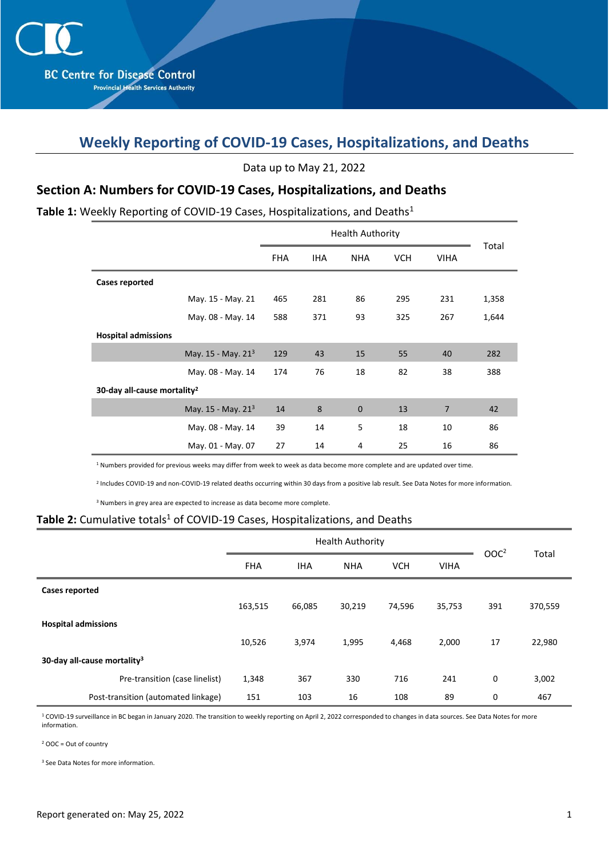# **Weekly Reporting of COVID-19 Cases, Hospitalizations, and Deaths**

Data up to May 21, 2022

### **Section A: Numbers for COVID-19 Cases, Hospitalizations, and Deaths**

#### Table 1: Weekly Reporting of COVID-19 Cases, Hospitalizations, and Deaths<sup>1</sup>

|                                         | <b>FHA</b> | <b>IHA</b> | <b>NHA</b>  | <b>VCH</b> | <b>VIHA</b>    | Total |  |  |  |  |
|-----------------------------------------|------------|------------|-------------|------------|----------------|-------|--|--|--|--|
| <b>Cases reported</b>                   |            |            |             |            |                |       |  |  |  |  |
| May. 15 - May. 21                       | 465        | 281        | 86          | 295        | 231            | 1,358 |  |  |  |  |
| May. 08 - May. 14                       | 588        | 371        | 93          | 325        | 267            | 1,644 |  |  |  |  |
| <b>Hospital admissions</b>              |            |            |             |            |                |       |  |  |  |  |
| May. 15 - May. 21 <sup>3</sup>          | 129        | 43         | 15          | 55         | 40             | 282   |  |  |  |  |
| May. 08 - May. 14                       | 174        | 76         | 18          | 82         | 38             | 388   |  |  |  |  |
| 30-day all-cause mortality <sup>2</sup> |            |            |             |            |                |       |  |  |  |  |
| May. $15 -$ May. $21^3$                 | 14         | 8          | $\mathbf 0$ | 13         | $\overline{7}$ | 42    |  |  |  |  |
| May. 08 - May. 14                       | 39         | 14         | 5           | 18         | 10             | 86    |  |  |  |  |
| May. 01 - May. 07                       | 27         | 14         | 4           | 25         | 16             | 86    |  |  |  |  |

<sup>1</sup> Numbers provided for previous weeks may differ from week to week as data become more complete and are updated over time.

2 Includes COVID-19 and non-COVID-19 related deaths occurring within 30 days from a positive lab result. See Data Notes for more information.

<sup>3</sup> Numbers in grey area are expected to increase as data become more complete.

#### Table 2: Cumulative totals<sup>1</sup> of COVID-19 Cases, Hospitalizations, and Deaths

|                                         | <b>Health Authority</b> |            |            |            |             | OOC <sup>2</sup> |         |
|-----------------------------------------|-------------------------|------------|------------|------------|-------------|------------------|---------|
|                                         | <b>FHA</b>              | <b>IHA</b> | <b>NHA</b> | <b>VCH</b> | <b>VIHA</b> |                  | Total   |
| <b>Cases reported</b>                   |                         |            |            |            |             |                  |         |
|                                         | 163,515                 | 66,085     | 30,219     | 74,596     | 35,753      | 391              | 370,559 |
| <b>Hospital admissions</b>              |                         |            |            |            |             |                  |         |
|                                         | 10,526                  | 3,974      | 1,995      | 4,468      | 2,000       | 17               | 22,980  |
| 30-day all-cause mortality <sup>3</sup> |                         |            |            |            |             |                  |         |
| Pre-transition (case linelist)          | 1,348                   | 367        | 330        | 716        | 241         | $\mathbf 0$      | 3,002   |
| Post-transition (automated linkage)     | 151                     | 103        | 16         | 108        | 89          | 0                | 467     |

<sup>1</sup> COVID-19 surveillance in BC began in January 2020. The transition to weekly reporting on April 2, 2022 corresponded to changes in data sources. See Data Notes for more information.

<sup>2</sup> OOC = Out of country

<sup>3</sup> See Data Notes for more information.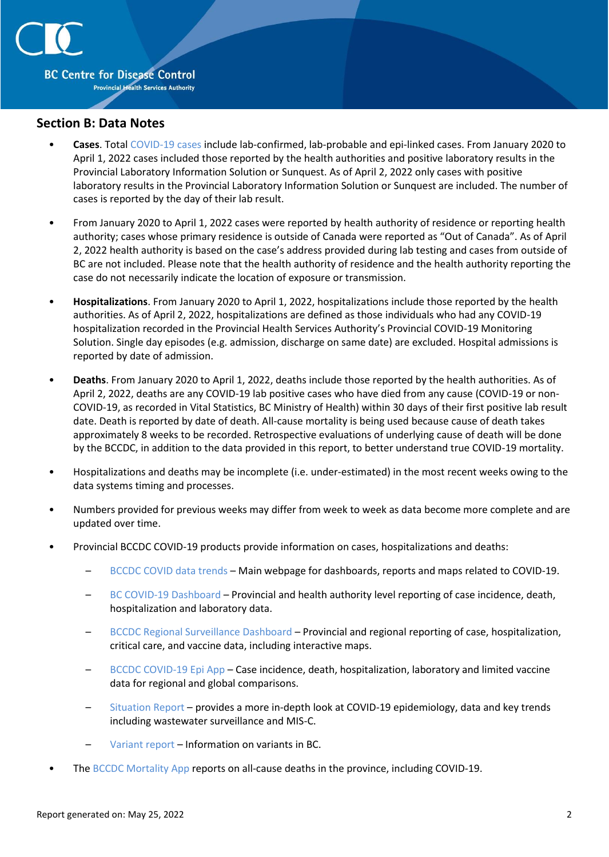

#### **Section B: Data Notes**

- **Cases**. Total [COVID-19 cases](http://www.bccdc.ca/health-professionals/clinical-resources/case-definitions/covid-19-(novel-coronavirus)) include lab-confirmed, lab-probable and epi-linked cases. From January 2020 to April 1, 2022 cases included those reported by the health authorities and positive laboratory results in the Provincial Laboratory Information Solution or Sunquest. As of April 2, 2022 only cases with positive laboratory results in the Provincial Laboratory Information Solution or Sunquest are included. The number of cases is reported by the day of their lab result.
- From January 2020 to April 1, 2022 cases were reported by health authority of residence or reporting health authority; cases whose primary residence is outside of Canada were reported as "Out of Canada". As of April 2, 2022 health authority is based on the case's address provided during lab testing and cases from outside of BC are not included. Please note that the health authority of residence and the health authority reporting the case do not necessarily indicate the location of exposure or transmission.
- **Hospitalizations**. From January 2020 to April 1, 2022, hospitalizations include those reported by the health authorities. As of April 2, 2022, hospitalizations are defined as those individuals who had any COVID-19 hospitalization recorded in the Provincial Health Services Authority's Provincial COVID-19 Monitoring Solution. Single day episodes (e.g. admission, discharge on same date) are excluded. Hospital admissions is reported by date of admission.
- **Deaths**. From January 2020 to April 1, 2022, deaths include those reported by the health authorities. As of April 2, 2022, deaths are any COVID-19 lab positive cases who have died from any cause (COVID-19 or non-COVID-19, as recorded in Vital Statistics, BC Ministry of Health) within 30 days of their first positive lab result date. Death is reported by date of death. All-cause mortality is being used because cause of death takes approximately 8 weeks to be recorded. Retrospective evaluations of underlying cause of death will be done by the BCCDC, in addition to the data provided in this report, to better understand true COVID-19 mortality.
- Hospitalizations and deaths may be incomplete (i.e. under-estimated) in the most recent weeks owing to the data systems timing and processes.
- Numbers provided for previous weeks may differ from week to week as data become more complete and are updated over time.
- Provincial BCCDC COVID-19 products provide information on cases, hospitalizations and deaths:
	- [BCCDC COVID data trends](http://www.bccdc.ca/health-info/diseases-conditions/covid-19/data-trends) Main webpage for dashboards, reports and maps related to COVID-19.
	- [BC COVID-19 Dashboard](https://experience.arcgis.com/experience/a6f23959a8b14bfa989e3cda29297ded) Provincial and health authority level reporting of case incidence, death, hospitalization and laboratory data.
	- [BCCDC Regional Surveillance Dashboard](http://www.bccdc.ca/health-professionals/data-reports/covid-19-surveillance-dashboard) Provincial and regional reporting of case, hospitalization, critical care, and vaccine data, including interactive maps.
	- [BCCDC COVID-19 Epi App](https://bccdc.shinyapps.io/covid19_global_epi_app/) Case incidence, death, hospitalization, laboratory and limited vaccine data for regional and global comparisons.
	- [Situation Report](http://www.bccdc.ca/health-info/diseases-conditions/covid-19/data#Situationreport/) provides a more in-depth look at COVID-19 epidemiology, data and key trends including wastewater surveillance and MIS-C.
	- [Variant report](http://www.bccdc.ca/health-info/diseases-conditions/covid-19/data#variants) Information on variants in BC.
- The [BCCDC Mortality App](https://bccdc.shinyapps.io/Mortality_Context_ShinyApp/) reports on all-cause deaths in the province, including COVID-19.